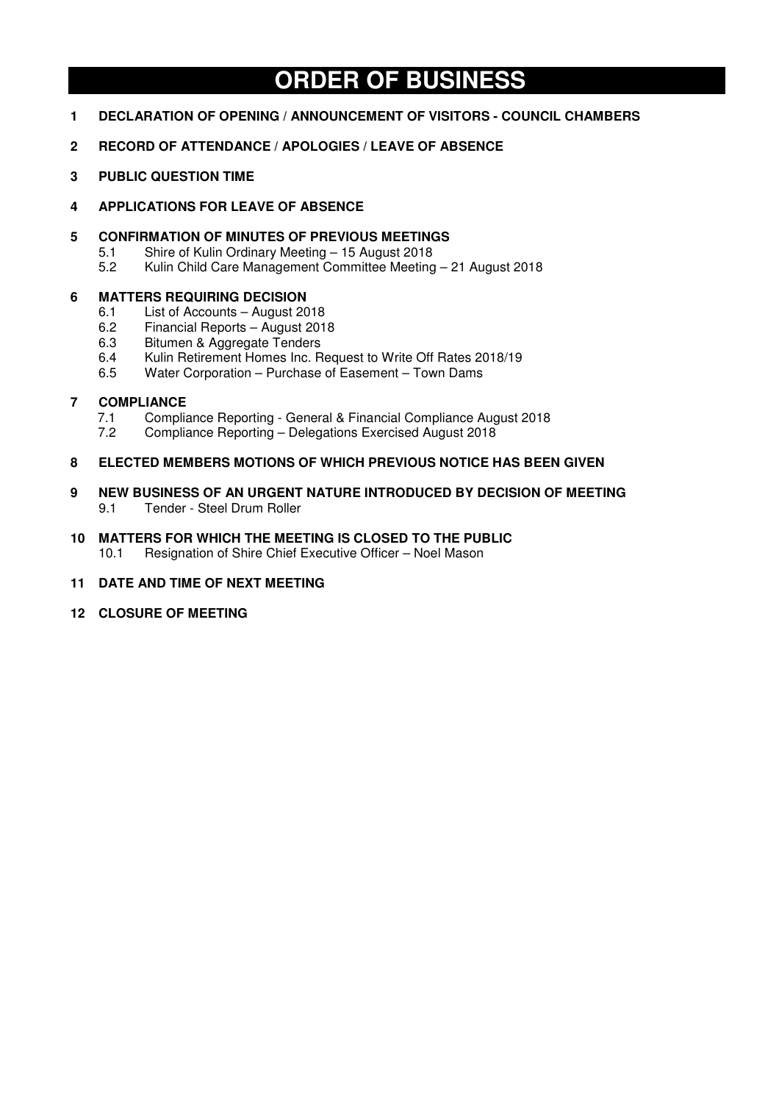# **ORDER OF BUSINESS**

- **1 DECLARATION OF OPENING / ANNOUNCEMENT OF VISITORS COUNCIL CHAMBERS**
- **2 RECORD OF ATTENDANCE / APOLOGIES / LEAVE OF ABSENCE**
- **3 PUBLIC QUESTION TIME**
- **4 APPLICATIONS FOR LEAVE OF ABSENCE**
- **5 CONFIRMATION OF MINUTES OF PREVIOUS MEETINGS**<br>5.1 Shire of Kulin Ordinary Meeting 15 August 2018
	- 5.1 Shire of Kulin Ordinary Meeting 15 August 2018<br>5.2 Kulin Child Care Management Committee Meeting
	- 5.2 Kulin Child Care Management Committee Meeting 21 August 2018

## **6 MATTERS REQUIRING DECISION**

- 6.1 List of Accounts August 2018
- 6.2 Financial Reports August 2018
- 6.3 Bitumen & Aggregate Tenders
- 6.4 Kulin Retirement Homes Inc. Request to Write Off Rates 2018/19
- 6.5 Water Corporation Purchase of Easement Town Dams

## **7 COMPLIANCE**

- 7.1 Compliance Reporting General & Financial Compliance August 2018<br>7.2 Compliance Reporting Delegations Exercised August 2018
- 7.2 Compliance Reporting Delegations Exercised August 2018
- **8 ELECTED MEMBERS MOTIONS OF WHICH PREVIOUS NOTICE HAS BEEN GIVEN**
- **9 NEW BUSINESS OF AN URGENT NATURE INTRODUCED BY DECISION OF MEETING**  9.1 Tender - Steel Drum Roller
- **10 MATTERS FOR WHICH THE MEETING IS CLOSED TO THE PUBLIC**  10.1 Resignation of Shire Chief Executive Officer – Noel Mason
- **11 DATE AND TIME OF NEXT MEETING**
- **12 CLOSURE OF MEETING**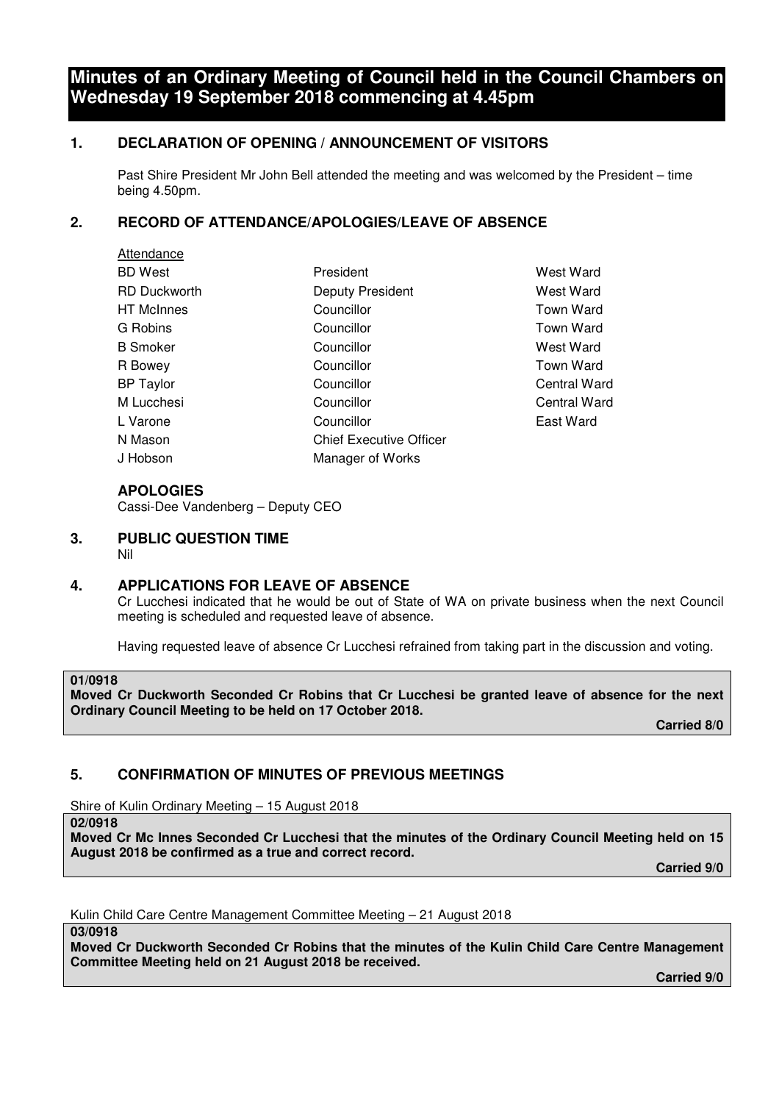**Minutes of an Ordinary Meeting of Council held in the Council Chambers on Wednesday 19 September 2018 commencing at 4.45pm** 

## **1. DECLARATION OF OPENING / ANNOUNCEMENT OF VISITORS**

Past Shire President Mr John Bell attended the meeting and was welcomed by the President – time being 4.50pm.

## **2. RECORD OF ATTENDANCE/APOLOGIES/LEAVE OF ABSENCE**

| Attendance          |                                |                     |
|---------------------|--------------------------------|---------------------|
| <b>BD</b> West      | President                      | West Ward           |
| <b>RD Duckworth</b> | Deputy President               | West Ward           |
| <b>HT</b> McInnes   | Councillor                     | <b>Town Ward</b>    |
| G Robins            | Councillor                     | <b>Town Ward</b>    |
| <b>B</b> Smoker     | Councillor                     | West Ward           |
| R Bowey             | Councillor                     | <b>Town Ward</b>    |
| <b>BP</b> Taylor    | Councillor                     | Central Ward        |
| M Lucchesi          | Councillor                     | <b>Central Ward</b> |
| L Varone            | Councillor                     | East Ward           |
| N Mason             | <b>Chief Executive Officer</b> |                     |
| J Hobson            | Manager of Works               |                     |

#### **APOLOGIES**

Cassi-Dee Vandenberg – Deputy CEO

**3. PUBLIC QUESTION TIME**  Nil

## **4. APPLICATIONS FOR LEAVE OF ABSENCE**

Cr Lucchesi indicated that he would be out of State of WA on private business when the next Council meeting is scheduled and requested leave of absence.

Having requested leave of absence Cr Lucchesi refrained from taking part in the discussion and voting.

#### **01/0918**

**Moved Cr Duckworth Seconded Cr Robins that Cr Lucchesi be granted leave of absence for the next Ordinary Council Meeting to be held on 17 October 2018.** 

 **Carried 8/0** 

## **5. CONFIRMATION OF MINUTES OF PREVIOUS MEETINGS**

Shire of Kulin Ordinary Meeting – 15 August 2018

**02/0918** 

**Moved Cr Mc Innes Seconded Cr Lucchesi that the minutes of the Ordinary Council Meeting held on 15 August 2018 be confirmed as a true and correct record.** 

 **Carried 9/0** 

Kulin Child Care Centre Management Committee Meeting – 21 August 2018

**03/0918** 

**Moved Cr Duckworth Seconded Cr Robins that the minutes of the Kulin Child Care Centre Management Committee Meeting held on 21 August 2018 be received.** 

 **Carried 9/0**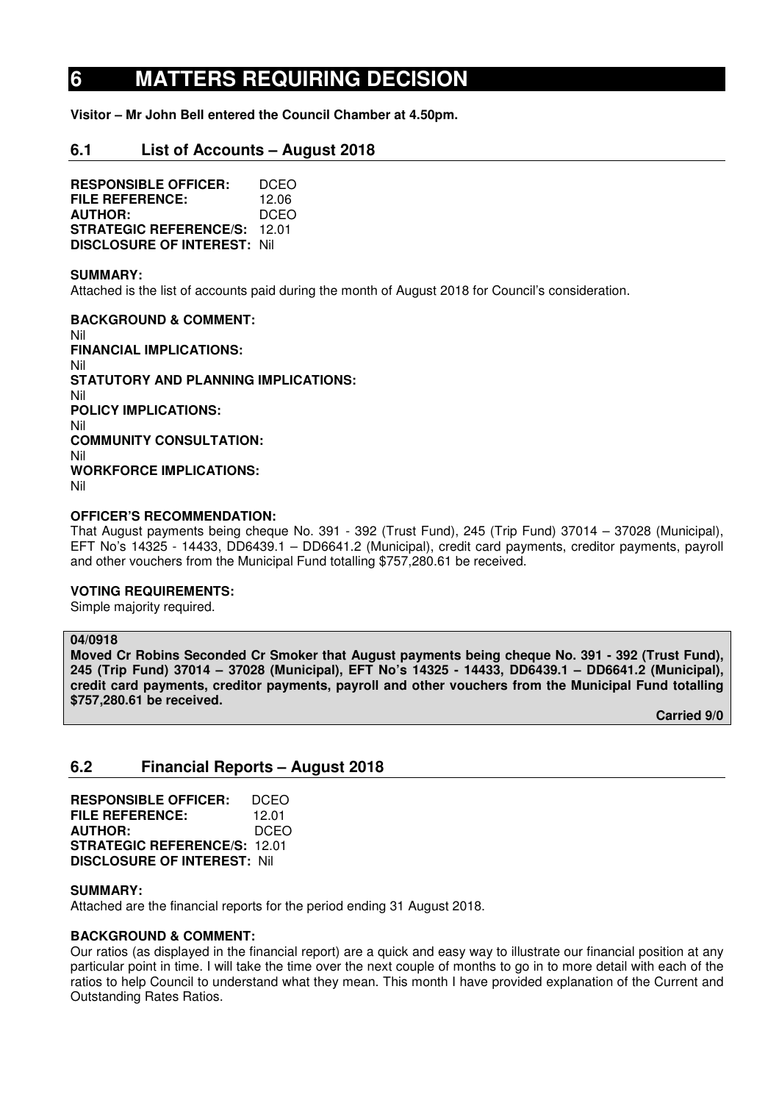## **6 MATTERS REQUIRING DECISION**

**Visitor – Mr John Bell entered the Council Chamber at 4.50pm.** 

## **6.1 List of Accounts – August 2018**

**RESPONSIBLE OFFICER:** DCEO **FILE REFERENCE:** 12.06<br>**AUTHOR:** DCEO **AUTHOR: STRATEGIC REFERENCE/S:** 12.01 **DISCLOSURE OF INTEREST:** Nil

#### **SUMMARY:**

Attached is the list of accounts paid during the month of August 2018 for Council's consideration.

**BACKGROUND & COMMENT:**  Nil **FINANCIAL IMPLICATIONS:**  Nil **STATUTORY AND PLANNING IMPLICATIONS:**  Nil **POLICY IMPLICATIONS:**  Nil **COMMUNITY CONSULTATION:**  Nil **WORKFORCE IMPLICATIONS:**  Nil

#### **OFFICER'S RECOMMENDATION:**

That August payments being cheque No. 391 - 392 (Trust Fund), 245 (Trip Fund) 37014 – 37028 (Municipal), EFT No's 14325 - 14433, DD6439.1 – DD6641.2 (Municipal), credit card payments, creditor payments, payroll and other vouchers from the Municipal Fund totalling \$757,280.61 be received.

#### **VOTING REQUIREMENTS:**

Simple majority required.

#### **04/0918**

**Moved Cr Robins Seconded Cr Smoker that August payments being cheque No. 391 - 392 (Trust Fund), 245 (Trip Fund) 37014 – 37028 (Municipal), EFT No's 14325 - 14433, DD6439.1 – DD6641.2 (Municipal), credit card payments, creditor payments, payroll and other vouchers from the Municipal Fund totalling \$757,280.61 be received.** 

 **Carried 9/0** 

## **6.2 Financial Reports – August 2018**

**RESPONSIBLE OFFICER:** DCEO **FILE REFERENCE:** 12.01 **AUTHOR:** DCEO **STRATEGIC REFERENCE/S:** 12.01 **DISCLOSURE OF INTEREST:** Nil

#### **SUMMARY:**

Attached are the financial reports for the period ending 31 August 2018.

#### **BACKGROUND & COMMENT:**

Our ratios (as displayed in the financial report) are a quick and easy way to illustrate our financial position at any particular point in time. I will take the time over the next couple of months to go in to more detail with each of the ratios to help Council to understand what they mean. This month I have provided explanation of the Current and Outstanding Rates Ratios.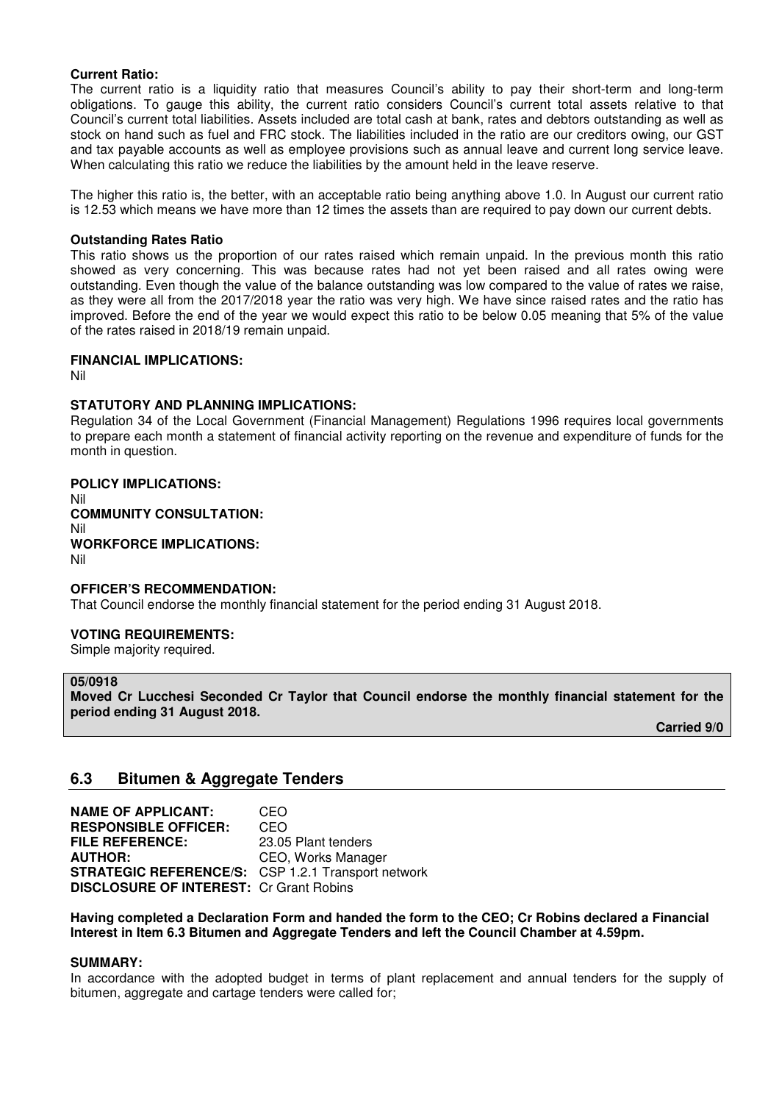#### **Current Ratio:**

The current ratio is a liquidity ratio that measures Council's ability to pay their short-term and long-term obligations. To gauge this ability, the current ratio considers Council's current total assets relative to that Council's current total liabilities. Assets included are total cash at bank, rates and debtors outstanding as well as stock on hand such as fuel and FRC stock. The liabilities included in the ratio are our creditors owing, our GST and tax payable accounts as well as employee provisions such as annual leave and current long service leave. When calculating this ratio we reduce the liabilities by the amount held in the leave reserve.

The higher this ratio is, the better, with an acceptable ratio being anything above 1.0. In August our current ratio is 12.53 which means we have more than 12 times the assets than are required to pay down our current debts.

#### **Outstanding Rates Ratio**

This ratio shows us the proportion of our rates raised which remain unpaid. In the previous month this ratio showed as very concerning. This was because rates had not yet been raised and all rates owing were outstanding. Even though the value of the balance outstanding was low compared to the value of rates we raise, as they were all from the 2017/2018 year the ratio was very high. We have since raised rates and the ratio has improved. Before the end of the year we would expect this ratio to be below 0.05 meaning that 5% of the value of the rates raised in 2018/19 remain unpaid.

#### **FINANCIAL IMPLICATIONS:**

Nil

#### **STATUTORY AND PLANNING IMPLICATIONS:**

Regulation 34 of the Local Government (Financial Management) Regulations 1996 requires local governments to prepare each month a statement of financial activity reporting on the revenue and expenditure of funds for the month in question.

#### **POLICY IMPLICATIONS:**  Nil **COMMUNITY CONSULTATION:**

Nil **WORKFORCE IMPLICATIONS:**  Nil

#### **OFFICER'S RECOMMENDATION:**

That Council endorse the monthly financial statement for the period ending 31 August 2018.

#### **VOTING REQUIREMENTS:**

Simple majority required.

## **05/0918**

**Moved Cr Lucchesi Seconded Cr Taylor that Council endorse the monthly financial statement for the period ending 31 August 2018.** 

 **Carried 9/0** 

## **6.3 Bitumen & Aggregate Tenders**

**NAME OF APPLICANT:** CEO **RESPONSIBLE OFFICER:** CEO **FILE REFERENCE:** 23.05 Plant tenders **AUTHOR:** CEO, Works Manager **STRATEGIC REFERENCE/S:** CSP 1.2.1 Transport network **DISCLOSURE OF INTEREST:** Cr Grant Robins

**Having completed a Declaration Form and handed the form to the CEO; Cr Robins declared a Financial Interest in Item 6.3 Bitumen and Aggregate Tenders and left the Council Chamber at 4.59pm.** 

#### **SUMMARY:**

In accordance with the adopted budget in terms of plant replacement and annual tenders for the supply of bitumen, aggregate and cartage tenders were called for;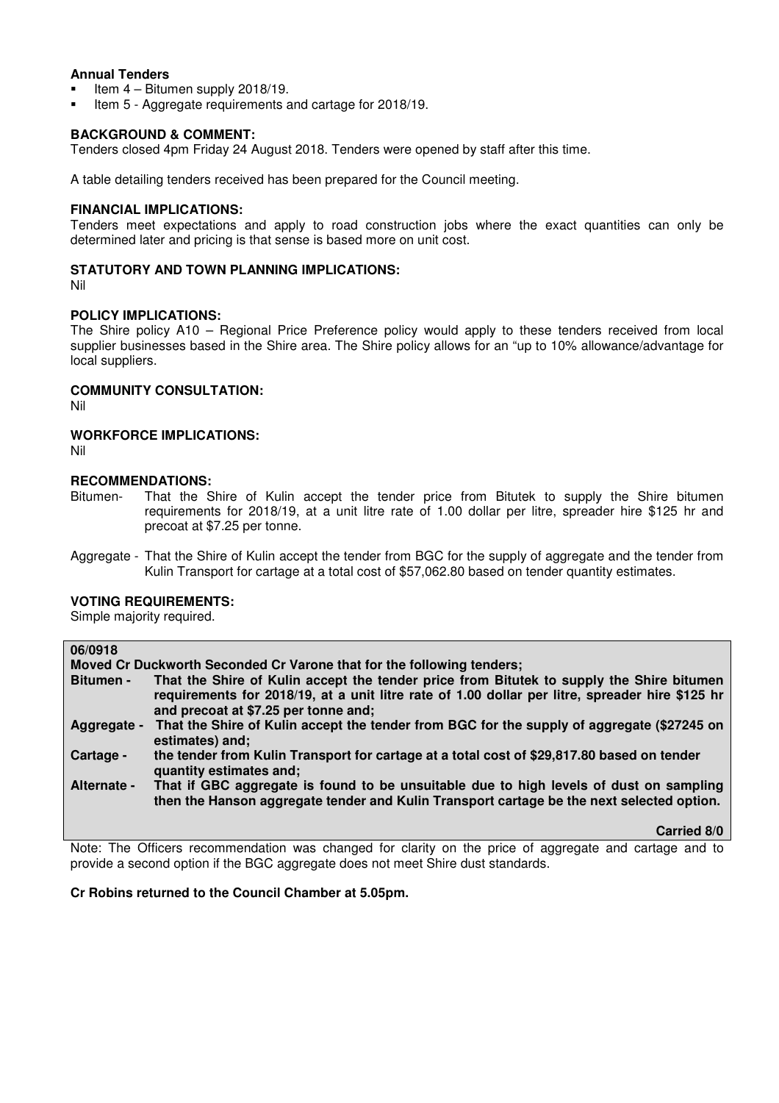#### **Annual Tenders**

- Item 4 Bitumen supply 2018/19.
- Item 5 Aggregate requirements and cartage for 2018/19.

#### **BACKGROUND & COMMENT:**

Tenders closed 4pm Friday 24 August 2018. Tenders were opened by staff after this time.

A table detailing tenders received has been prepared for the Council meeting.

#### **FINANCIAL IMPLICATIONS:**

Tenders meet expectations and apply to road construction jobs where the exact quantities can only be determined later and pricing is that sense is based more on unit cost.

## **STATUTORY AND TOWN PLANNING IMPLICATIONS:**

Nil

#### **POLICY IMPLICATIONS:**

The Shire policy A10 – Regional Price Preference policy would apply to these tenders received from local supplier businesses based in the Shire area. The Shire policy allows for an "up to 10% allowance/advantage for local suppliers.

#### **COMMUNITY CONSULTATION:**

Nil

#### **WORKFORCE IMPLICATIONS:**

Nil

## **RECOMMENDATIONS:**

- Bitumen- That the Shire of Kulin accept the tender price from Bitutek to supply the Shire bitumen requirements for 2018/19, at a unit litre rate of 1.00 dollar per litre, spreader hire \$125 hr and precoat at \$7.25 per tonne.
- Aggregate That the Shire of Kulin accept the tender from BGC for the supply of aggregate and the tender from Kulin Transport for cartage at a total cost of \$57,062.80 based on tender quantity estimates.

#### **VOTING REQUIREMENTS:**

Simple majority required.

| 06/0918     |                                                                                                                                                                                                                                     |
|-------------|-------------------------------------------------------------------------------------------------------------------------------------------------------------------------------------------------------------------------------------|
|             | Moved Cr Duckworth Seconded Cr Varone that for the following tenders;                                                                                                                                                               |
| Bitumen -   | That the Shire of Kulin accept the tender price from Bitutek to supply the Shire bitumen<br>requirements for 2018/19, at a unit litre rate of 1.00 dollar per litre, spreader hire \$125 hr<br>and precoat at \$7.25 per tonne and; |
| Aggregate - | That the Shire of Kulin accept the tender from BGC for the supply of aggregate (\$27245 on<br>estimates) and;                                                                                                                       |
| Cartage -   | the tender from Kulin Transport for cartage at a total cost of \$29,817.80 based on tender<br>quantity estimates and;                                                                                                               |
| Alternate - | That if GBC aggregate is found to be unsuitable due to high levels of dust on sampling<br>then the Hanson aggregate tender and Kulin Transport cartage be the next selected option.                                                 |
|             | <b>Carried 8/0</b>                                                                                                                                                                                                                  |

Note: The Officers recommendation was changed for clarity on the price of aggregate and cartage and to provide a second option if the BGC aggregate does not meet Shire dust standards.

#### **Cr Robins returned to the Council Chamber at 5.05pm.**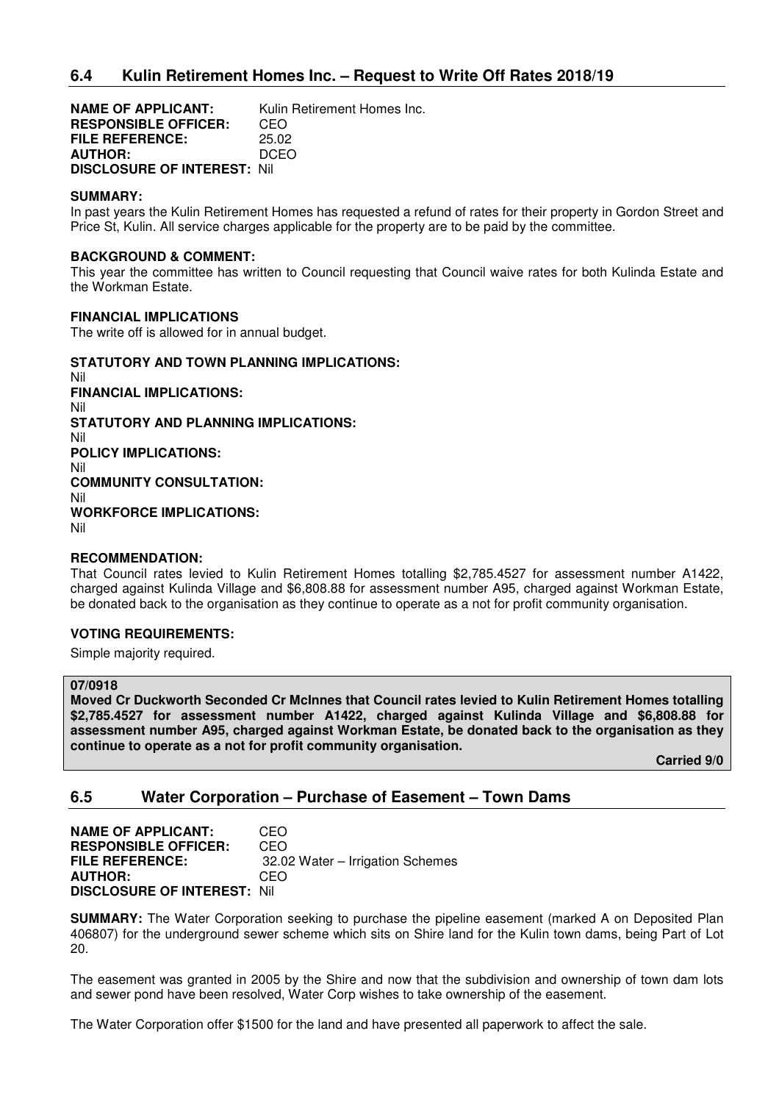**NAME OF APPLICANT:** Kulin Retirement Homes Inc. **RESPONSIBLE OFFICER:** CEO **FILE REFERENCE:** 25.02 **AUTHOR:** DCEO **DISCLOSURE OF INTEREST:** Nil

#### **SUMMARY:**

In past years the Kulin Retirement Homes has requested a refund of rates for their property in Gordon Street and Price St, Kulin. All service charges applicable for the property are to be paid by the committee.

#### **BACKGROUND & COMMENT:**

This year the committee has written to Council requesting that Council waive rates for both Kulinda Estate and the Workman Estate.

#### **FINANCIAL IMPLICATIONS**

The write off is allowed for in annual budget.

**STATUTORY AND TOWN PLANNING IMPLICATIONS:**  Nil **FINANCIAL IMPLICATIONS:** Nil **STATUTORY AND PLANNING IMPLICATIONS:**  Nil **POLICY IMPLICATIONS:** Nil **COMMUNITY CONSULTATION:** Nil **WORKFORCE IMPLICATIONS:** Nil

## **RECOMMENDATION:**

That Council rates levied to Kulin Retirement Homes totalling \$2,785.4527 for assessment number A1422, charged against Kulinda Village and \$6,808.88 for assessment number A95, charged against Workman Estate, be donated back to the organisation as they continue to operate as a not for profit community organisation.

## **VOTING REQUIREMENTS:**

Simple majority required.

#### **07/0918**

**Moved Cr Duckworth Seconded Cr McInnes that Council rates levied to Kulin Retirement Homes totalling \$2,785.4527 for assessment number A1422, charged against Kulinda Village and \$6,808.88 for assessment number A95, charged against Workman Estate, be donated back to the organisation as they continue to operate as a not for profit community organisation.** 

**Carried 9/0** 

## **6.5 Water Corporation – Purchase of Easement – Town Dams**

| <b>NAME OF APPLICANT:</b>          | CEO                              |
|------------------------------------|----------------------------------|
| <b>RESPONSIBLE OFFICER:</b>        | CEO                              |
| <b>FILE REFERENCE:</b>             | 32.02 Water – Irrigation Schemes |
| <b>AUTHOR:</b>                     | CEO                              |
| <b>DISCLOSURE OF INTEREST: Nil</b> |                                  |

**SUMMARY:** The Water Corporation seeking to purchase the pipeline easement (marked A on Deposited Plan 406807) for the underground sewer scheme which sits on Shire land for the Kulin town dams, being Part of Lot 20.

The easement was granted in 2005 by the Shire and now that the subdivision and ownership of town dam lots and sewer pond have been resolved, Water Corp wishes to take ownership of the easement.

The Water Corporation offer \$1500 for the land and have presented all paperwork to affect the sale.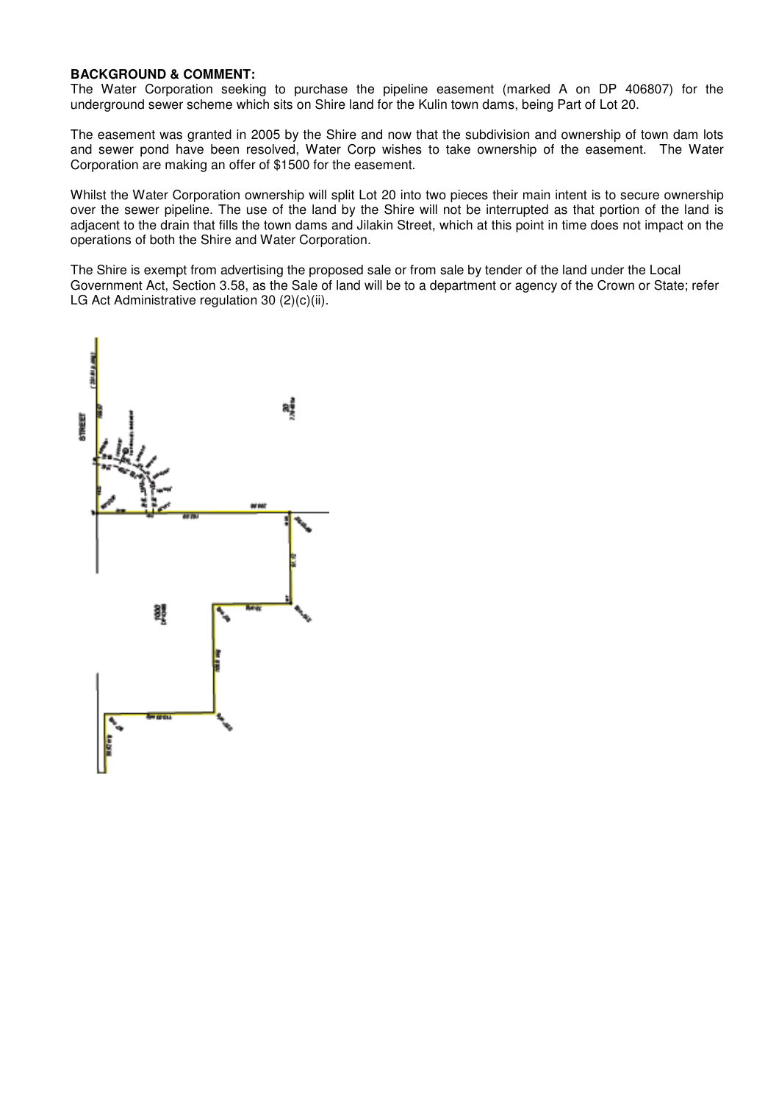#### **BACKGROUND & COMMENT:**

The Water Corporation seeking to purchase the pipeline easement (marked A on DP 406807) for the underground sewer scheme which sits on Shire land for the Kulin town dams, being Part of Lot 20.

The easement was granted in 2005 by the Shire and now that the subdivision and ownership of town dam lots and sewer pond have been resolved, Water Corp wishes to take ownership of the easement. The Water Corporation are making an offer of \$1500 for the easement.

Whilst the Water Corporation ownership will split Lot 20 into two pieces their main intent is to secure ownership over the sewer pipeline. The use of the land by the Shire will not be interrupted as that portion of the land is adjacent to the drain that fills the town dams and Jilakin Street, which at this point in time does not impact on the operations of both the Shire and Water Corporation.

The Shire is exempt from advertising the proposed sale or from sale by tender of the land under the Local Government Act, Section 3.58, as the Sale of land will be to a department or agency of the Crown or State; refer LG Act Administrative regulation 30 (2)(c)(ii).

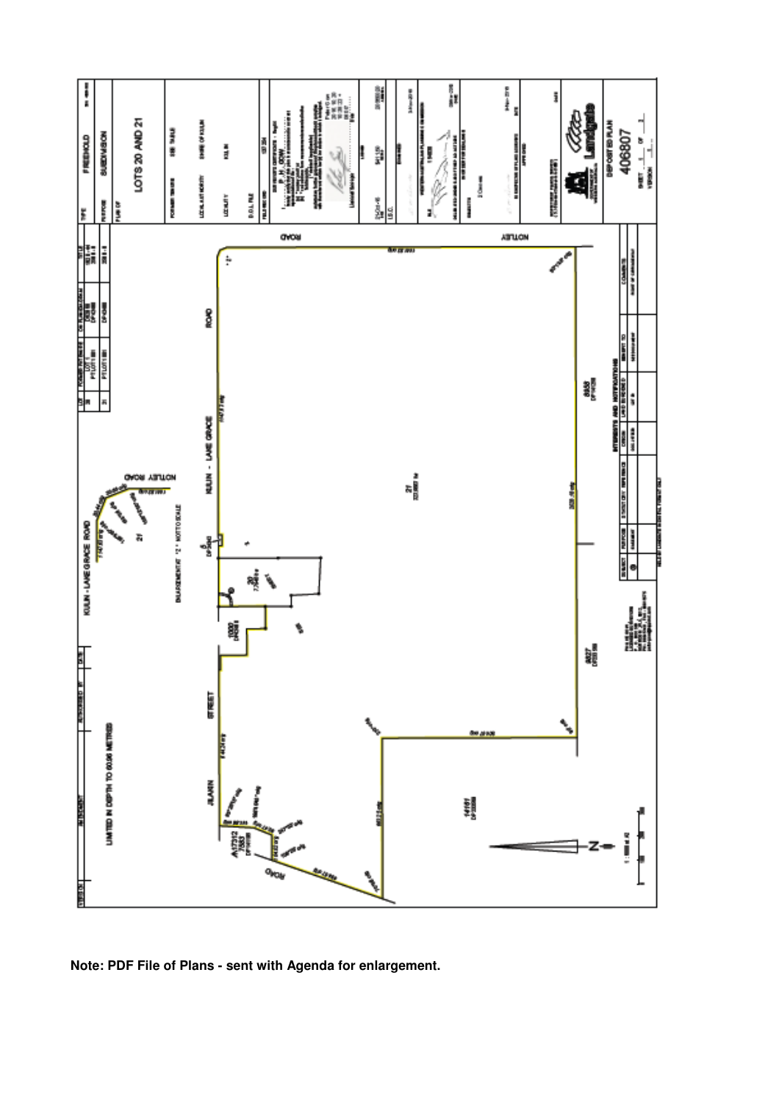

**Note: PDF File of Plans - sent with Agenda for enlargement.**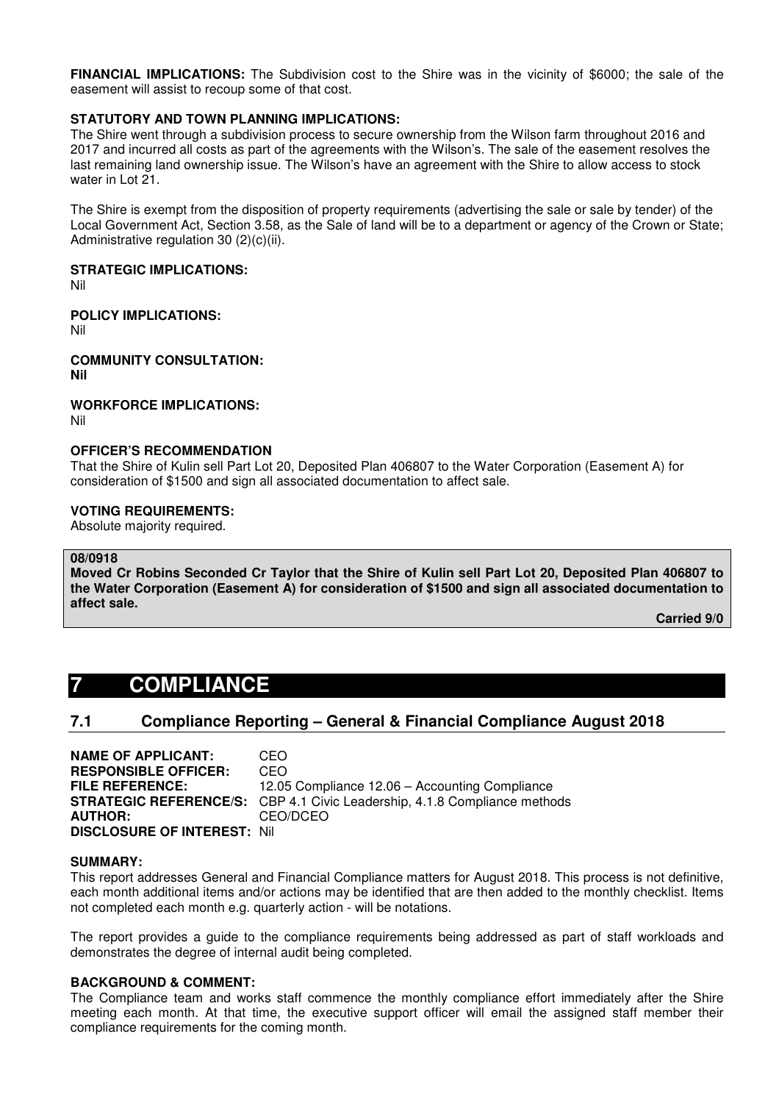**FINANCIAL IMPLICATIONS:** The Subdivision cost to the Shire was in the vicinity of \$6000; the sale of the easement will assist to recoup some of that cost.

#### **STATUTORY AND TOWN PLANNING IMPLICATIONS:**

The Shire went through a subdivision process to secure ownership from the Wilson farm throughout 2016 and 2017 and incurred all costs as part of the agreements with the Wilson's. The sale of the easement resolves the last remaining land ownership issue. The Wilson's have an agreement with the Shire to allow access to stock water in Lot 21.

The Shire is exempt from the disposition of property requirements (advertising the sale or sale by tender) of the Local Government Act, Section 3.58, as the Sale of land will be to a department or agency of the Crown or State; Administrative regulation 30 (2)(c)(ii).

#### **STRATEGIC IMPLICATIONS:**

Nil

#### **POLICY IMPLICATIONS:**

Nil

#### **COMMUNITY CONSULTATION: Nil**

#### **WORKFORCE IMPLICATIONS:** Nil

#### **OFFICER'S RECOMMENDATION**

That the Shire of Kulin sell Part Lot 20, Deposited Plan 406807 to the Water Corporation (Easement A) for consideration of \$1500 and sign all associated documentation to affect sale.

#### **VOTING REQUIREMENTS:**

Absolute majority required.

#### **08/0918**

**Moved Cr Robins Seconded Cr Taylor that the Shire of Kulin sell Part Lot 20, Deposited Plan 406807 to the Water Corporation (Easement A) for consideration of \$1500 and sign all associated documentation to affect sale.** 

**Carried 9/0** 

## **7 COMPLIANCE**

## **7.1 Compliance Reporting – General & Financial Compliance August 2018**

**NAME OF APPLICANT:** CEO **RESPONSIBLE OFFICER:** CEO **FILE REFERENCE:** 12.05 Compliance 12.06 – Accounting Compliance **STRATEGIC REFERENCE/S:** CBP 4.1 Civic Leadership, 4.1.8 Compliance methods **AUTHOR:** CEO/DCEO **DISCLOSURE OF INTEREST:** Nil

#### **SUMMARY:**

This report addresses General and Financial Compliance matters for August 2018. This process is not definitive, each month additional items and/or actions may be identified that are then added to the monthly checklist. Items not completed each month e.g. quarterly action - will be notations.

The report provides a guide to the compliance requirements being addressed as part of staff workloads and demonstrates the degree of internal audit being completed.

#### **BACKGROUND & COMMENT:**

The Compliance team and works staff commence the monthly compliance effort immediately after the Shire meeting each month. At that time, the executive support officer will email the assigned staff member their compliance requirements for the coming month.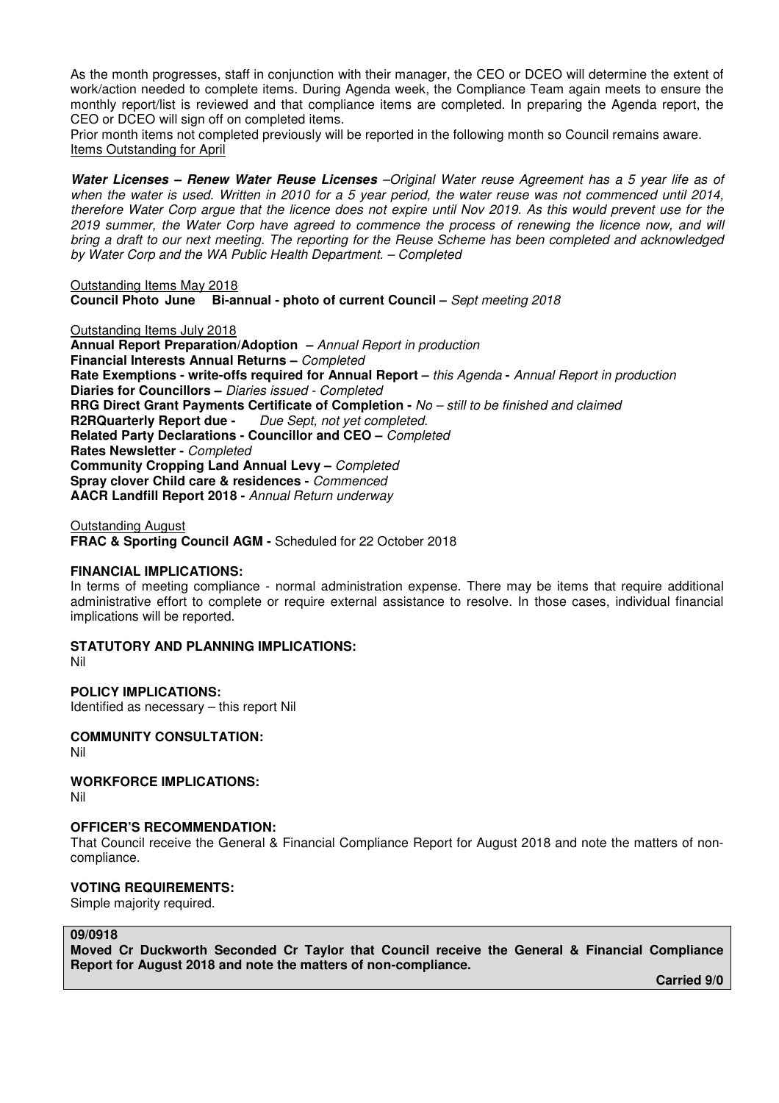As the month progresses, staff in conjunction with their manager, the CEO or DCEO will determine the extent of work/action needed to complete items. During Agenda week, the Compliance Team again meets to ensure the monthly report/list is reviewed and that compliance items are completed. In preparing the Agenda report, the CEO or DCEO will sign off on completed items.

Prior month items not completed previously will be reported in the following month so Council remains aware. Items Outstanding for April

**Water Licenses – Renew Water Reuse Licenses** –Original Water reuse Agreement has a 5 year life as of when the water is used. Written in 2010 for a 5 year period, the water reuse was not commenced until 2014, therefore Water Corp argue that the licence does not expire until Nov 2019. As this would prevent use for the 2019 summer, the Water Corp have agreed to commence the process of renewing the licence now, and will bring a draft to our next meeting. The reporting for the Reuse Scheme has been completed and acknowledged by Water Corp and the WA Public Health Department. – Completed

Outstanding Items May 2018 **Council Photo June Bi-annual - photo of current Council –** Sept meeting 2018

Outstanding Items July 2018 **Annual Report Preparation/Adoption –** Annual Report in production **Financial Interests Annual Returns –** Completed **Rate Exemptions - write-offs required for Annual Report –** this Agenda **-** Annual Report in production **Diaries for Councillors –** Diaries issued - Completed **RRG Direct Grant Payments Certificate of Completion - No – still to be finished and claimed R2RQuarterly Report due -** Due Sept, not yet completed. **Related Party Declarations - Councillor and CEO –** Completed **Rates Newsletter -** Completed **Community Cropping Land Annual Levy –** Completed **Spray clover Child care & residences -** Commenced **AACR Landfill Report 2018 -** Annual Return underway

Outstanding August **FRAC & Sporting Council AGM -** Scheduled for 22 October 2018

#### **FINANCIAL IMPLICATIONS:**

In terms of meeting compliance - normal administration expense. There may be items that require additional administrative effort to complete or require external assistance to resolve. In those cases, individual financial implications will be reported.

#### **STATUTORY AND PLANNING IMPLICATIONS:**

Nil

#### **POLICY IMPLICATIONS:**

Identified as necessary – this report Nil

## **COMMUNITY CONSULTATION:**

Nil

## **WORKFORCE IMPLICATIONS:**

Nil

#### **OFFICER'S RECOMMENDATION:**

That Council receive the General & Financial Compliance Report for August 2018 and note the matters of noncompliance.

## **VOTING REQUIREMENTS:**

Simple majority required.

#### **09/0918**

**Moved Cr Duckworth Seconded Cr Taylor that Council receive the General & Financial Compliance Report for August 2018 and note the matters of non-compliance.** 

**Carried 9/0**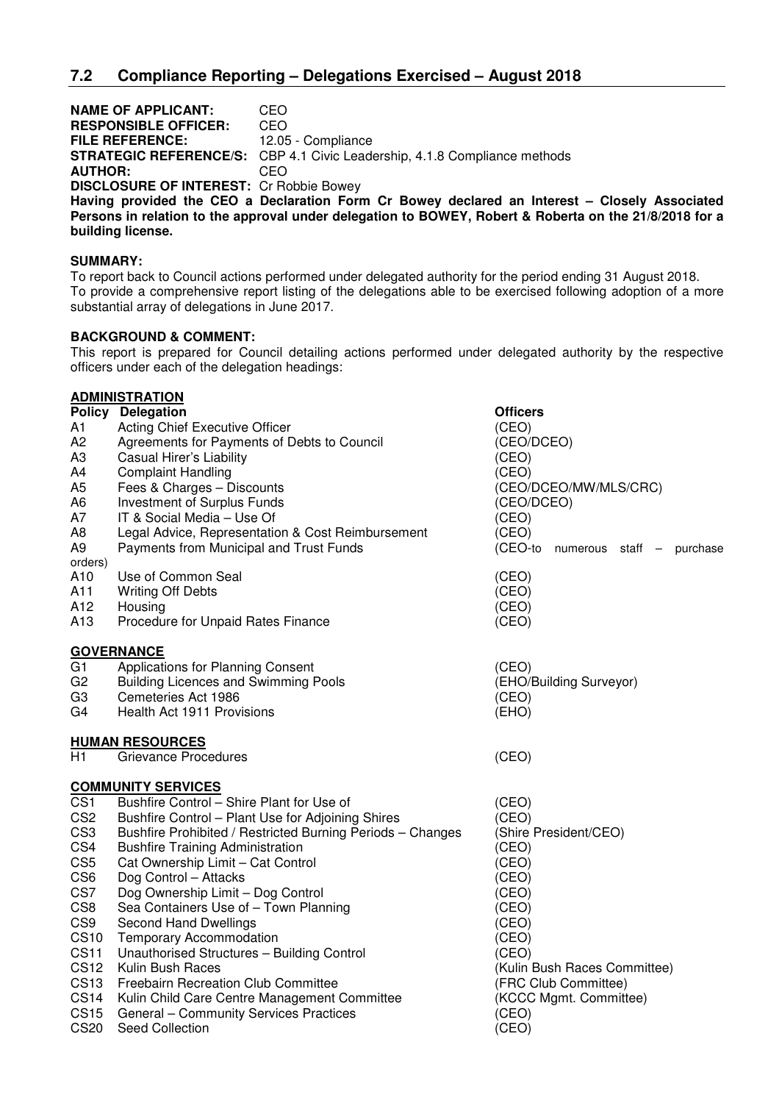**NAME OF APPLICANT: CEO<br>
RESPONSIBLE OFFICER: CEO RESPONSIBLE OFFICER: FILE REFERENCE:** 12.05 - Compliance **STRATEGIC REFERENCE/S:** CBP 4.1 Civic Leadership, 4.1.8 Compliance methods<br>**AUTHOR:** CEO **AUTHOR: DISCLOSURE OF INTEREST:** Cr Robbie Bowey **Having provided the CEO a Declaration Form Cr Bowey declared an Interest – Closely Associated** 

**Persons in relation to the approval under delegation to BOWEY, Robert & Roberta on the 21/8/2018 for a building license.** 

#### **SUMMARY:**

To report back to Council actions performed under delegated authority for the period ending 31 August 2018. To provide a comprehensive report listing of the delegations able to be exercised following adoption of a more substantial array of delegations in June 2017.

## **BACKGROUND & COMMENT:**

This report is prepared for Council detailing actions performed under delegated authority by the respective officers under each of the delegation headings:

## **ADMINISTRATION**

| <b>Policy</b>   | <b>Delegation</b>                                          | <b>Officers</b>                      |
|-----------------|------------------------------------------------------------|--------------------------------------|
| A1              | Acting Chief Executive Officer                             | (CEO)                                |
| A <sub>2</sub>  | Agreements for Payments of Debts to Council                | (CEO/DCEO)                           |
| A <sub>3</sub>  | Casual Hirer's Liability                                   | (CEO)                                |
| A4              | <b>Complaint Handling</b>                                  | (CEO)                                |
| A <sub>5</sub>  | Fees & Charges - Discounts                                 | (CEO/DCEO/MW/MLS/CRC)                |
| A <sub>6</sub>  | Investment of Surplus Funds                                | (CEO/DCEO)                           |
| A7              | IT & Social Media - Use Of                                 | (CEO)                                |
| A <sub>8</sub>  | Legal Advice, Representation & Cost Reimbursement          | (CEO)                                |
| A <sub>9</sub>  | Payments from Municipal and Trust Funds                    | (CEO-to<br>numerous staff - purchase |
| orders)         |                                                            |                                      |
| A10             | Use of Common Seal                                         | (CEO)                                |
| A11             | <b>Writing Off Debts</b>                                   | (CEO)                                |
| A12             | Housing                                                    | (CEO)                                |
| A13             | Procedure for Unpaid Rates Finance                         | (CEO)                                |
|                 | <b>GOVERNANCE</b>                                          |                                      |
| G <sub>1</sub>  | Applications for Planning Consent                          | (CEO)                                |
| G <sub>2</sub>  | <b>Building Licences and Swimming Pools</b>                | (EHO/Building Surveyor)              |
| G <sub>3</sub>  | Cemeteries Act 1986                                        | (CEO)                                |
| G4              | Health Act 1911 Provisions                                 | (EHO)                                |
|                 | <b>HUMAN RESOURCES</b>                                     |                                      |
| H1              | Grievance Procedures                                       | (CEO)                                |
|                 | <b>COMMUNITY SERVICES</b>                                  |                                      |
| CS <sub>1</sub> | Bushfire Control - Shire Plant for Use of                  | (CEO)                                |
| CS <sub>2</sub> | Bushfire Control - Plant Use for Adjoining Shires          | (CEO)                                |
| CS <sub>3</sub> | Bushfire Prohibited / Restricted Burning Periods - Changes | (Shire President/CEO)                |
| CS4             | <b>Bushfire Training Administration</b>                    | (CEO)                                |
| CS <sub>5</sub> | Cat Ownership Limit - Cat Control                          | (CEO)                                |
| CS <sub>6</sub> | Dog Control - Attacks                                      | (CEO)                                |
| CS7             | Dog Ownership Limit - Dog Control                          | (CEO)                                |
| CS8             | Sea Containers Use of - Town Planning                      | (CEO)                                |
| CS9             | Second Hand Dwellings                                      | (CEO)                                |
| <b>CS10</b>     | <b>Temporary Accommodation</b>                             | (CEO)                                |
| <b>CS11</b>     | Unauthorised Structures - Building Control                 | (CEO)                                |
| <b>CS12</b>     | Kulin Bush Races                                           | (Kulin Bush Races Committee)         |
| <b>CS13</b>     | Freebairn Recreation Club Committee                        | (FRC Club Committee)                 |
| <b>CS14</b>     | Kulin Child Care Centre Management Committee               | (KCCC Mgmt. Committee)               |
| <b>CS15</b>     | General - Community Services Practices                     | (CEO)                                |
| <b>CS20</b>     | <b>Seed Collection</b>                                     | (CEO)                                |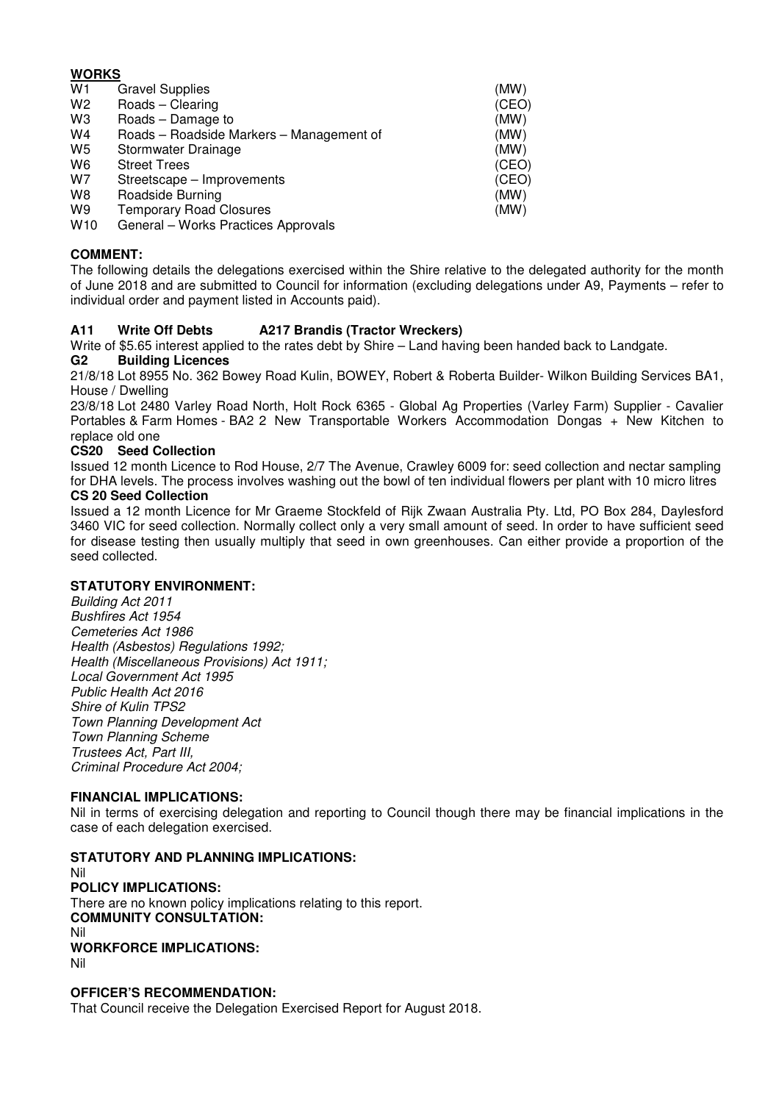## **WORKS**

| W <sub>1</sub>  | <b>Gravel Supplies</b>                   | (MW)  |
|-----------------|------------------------------------------|-------|
| W <sub>2</sub>  | Roads - Clearing                         | (CEO) |
| W3              | Roads - Damage to                        | (MW)  |
| W4              | Roads - Roadside Markers - Management of | (MW)  |
| W5              | Stormwater Drainage                      | (MW)  |
| W6              | <b>Street Trees</b>                      | (CEO) |
| W7              | Streetscape – Improvements               | (CEO) |
| W8              | Roadside Burning                         | (MW)  |
| W9              | <b>Temporary Road Closures</b>           | (MW)  |
| W <sub>10</sub> | General - Works Practices Approvals      |       |

## **COMMENT:**

The following details the delegations exercised within the Shire relative to the delegated authority for the month of June 2018 and are submitted to Council for information (excluding delegations under A9, Payments – refer to individual order and payment listed in Accounts paid).

## **A11 Write Off Debts A217 Brandis (Tractor Wreckers)**

Write of \$5.65 interest applied to the rates debt by Shire – Land having been handed back to Landgate.

#### **G2 Building Licences**

21/8/18 Lot 8955 No. 362 Bowey Road Kulin, BOWEY, Robert & Roberta Builder- Wilkon Building Services BA1, House / Dwelling

23/8/18 Lot 2480 Varley Road North, Holt Rock 6365 - Global Ag Properties (Varley Farm) Supplier - Cavalier Portables & Farm Homes - BA2 2 New Transportable Workers Accommodation Dongas + New Kitchen to replace old one

## **CS20 Seed Collection**

Issued 12 month Licence to Rod House, 2/7 The Avenue, Crawley 6009 for: seed collection and nectar sampling for DHA levels. The process involves washing out the bowl of ten individual flowers per plant with 10 micro litres **CS 20 Seed Collection** 

Issued a 12 month Licence for Mr Graeme Stockfeld of Rijk Zwaan Australia Pty. Ltd, PO Box 284, Daylesford 3460 VIC for seed collection. Normally collect only a very small amount of seed. In order to have sufficient seed

for disease testing then usually multiply that seed in own greenhouses. Can either provide a proportion of the seed collected.

## **STATUTORY ENVIRONMENT:**

Building Act 2011 Bushfires Act 1954 Cemeteries Act 1986 Health (Asbestos) Regulations 1992; Health (Miscellaneous Provisions) Act 1911; Local Government Act 1995 Public Health Act 2016 Shire of Kulin TPS2 Town Planning Development Act Town Planning Scheme Trustees Act, Part III, Criminal Procedure Act 2004;

## **FINANCIAL IMPLICATIONS:**

Nil in terms of exercising delegation and reporting to Council though there may be financial implications in the case of each delegation exercised.

**STATUTORY AND PLANNING IMPLICATIONS:**  Nil **POLICY IMPLICATIONS:**  There are no known policy implications relating to this report. **COMMUNITY CONSULTATION:**  Nil **WORKFORCE IMPLICATIONS:**  Nil

**OFFICER'S RECOMMENDATION:**  That Council receive the Delegation Exercised Report for August 2018.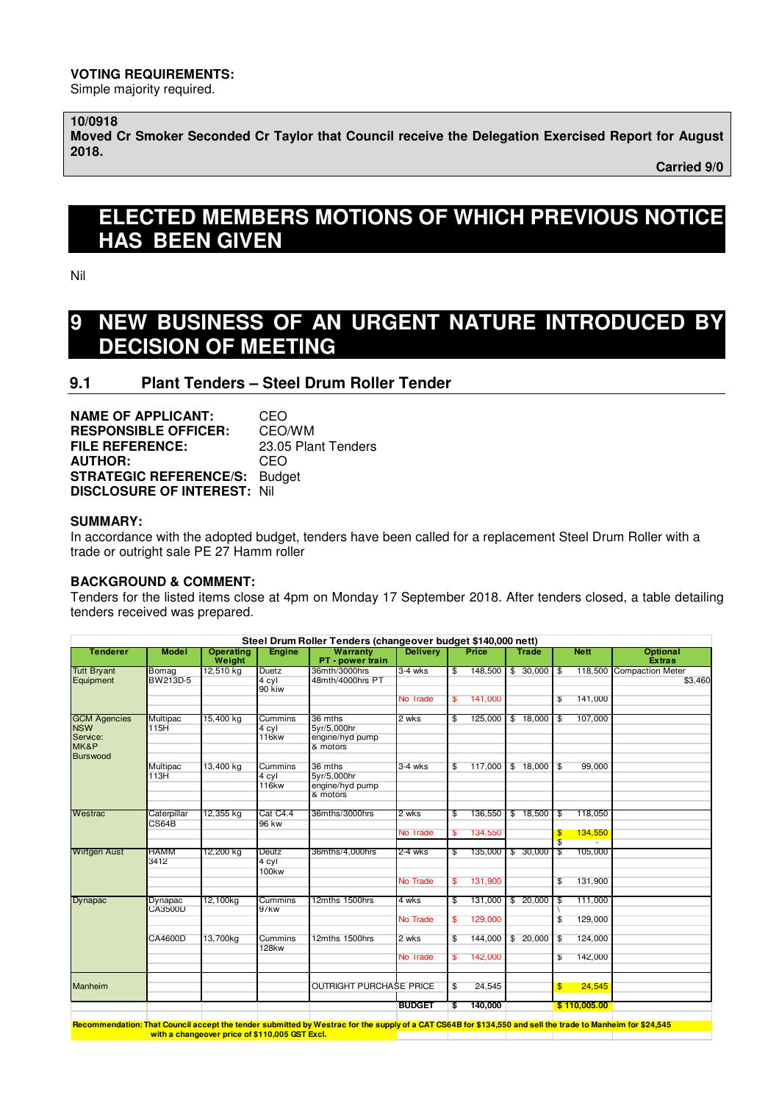#### **VOTING REQUIREMENTS:**

Simple majority required.

## **10/0918**

**Moved Cr Smoker Seconded Cr Taylor that Council receive the Delegation Exercised Report for August 2018.** 

**Carried 9/0** 

## **ELECTED MEMBERS MOTIONS OF WHICH PREVIOUS NOTICE HAS BEEN GIVEN**

Nil

## **9 NEW BUSINESS OF AN URGENT NATURE INTRODUCED BY DECISION OF MEETING**

## **9.1 Plant Tenders – Steel Drum Roller Tender**

| <b>NAME OF APPLICANT:</b>            | CEO                 |
|--------------------------------------|---------------------|
| <b>RESPONSIBLE OFFICER:</b>          | CEO/WM              |
| <b>FILE REFERENCE:</b>               | 23.05 Plant Tenders |
| <b>AUTHOR:</b>                       | CEO                 |
| <b>STRATEGIC REFERENCE/S: Budget</b> |                     |
| <b>DISCLOSURE OF INTEREST: Nil</b>   |                     |

#### **SUMMARY:**

In accordance with the adopted budget, tenders have been called for a replacement Steel Drum Roller with a trade or outright sale PE 27 Hamm roller

#### **BACKGROUND & COMMENT:**

Tenders for the listed items close at 4pm on Monday 17 September 2018. After tenders closed, a table detailing tenders received was prepared.

| Steel Drum Roller Tenders (changeover budget \$140,000 nett)             |                                  |                                                |                                  |                                                                                                                                                            |                          |                               |                              |              |                                                  |                    |                                    |
|--------------------------------------------------------------------------|----------------------------------|------------------------------------------------|----------------------------------|------------------------------------------------------------------------------------------------------------------------------------------------------------|--------------------------|-------------------------------|------------------------------|--------------|--------------------------------------------------|--------------------|------------------------------------|
| <b>Tenderer</b>                                                          | <b>Model</b>                     | <b>Operating</b><br>Weight                     | Engine                           | <b>Warranty</b><br>PT - power train                                                                                                                        | <b>Delivery</b>          |                               | Price                        | <b>Trade</b> |                                                  | <b>Nett</b>        | <b>Optional</b><br><b>Extras</b>   |
| <b>Tutt Bryant</b><br>Equipment                                          | Bomag<br>BW213D-5                | 12,510 kg                                      | Duetz<br>4 cyl<br>90 kiw         | 36mth/3000hrs<br>48mth/4000hrs PT                                                                                                                          | $3-4$ wks                | \$                            | 148,500                      | \$30,000     | \$                                               | 118,500            | <b>Compaction Meter</b><br>\$3,460 |
|                                                                          |                                  |                                                |                                  |                                                                                                                                                            | <b>No Trade</b>          | $\overline{\mathbf{s}}$       | 141,000                      |              | \$                                               | 141,000            |                                    |
| <b>GCM Agencies</b><br><b>NSW</b><br>Service:<br>MK&P<br><b>Burswood</b> | Multipac<br>115H                 | 15,400 kg                                      | Cummins<br>4 cyl<br><b>116kw</b> | 36 mths<br>5yr/5,000hr<br>engine/hyd pump<br>& motors                                                                                                      | 2 wks                    | \$                            | 125.000                      | \$18,000     | -\$                                              | 107.000            |                                    |
|                                                                          | <b>Multipac</b><br>113H          | 13,400 kg                                      | Cummins<br>4 cyl<br><b>116kw</b> | 36 mths<br>5yr/5,000hr<br>engine/hyd pump<br>& motors                                                                                                      | $3-4$ wks                | $\sqrt{3}$                    | 117,000                      | \$18,000     | $\overline{\mathcal{S}}$                         | 99.000             |                                    |
| Westrac                                                                  | Caterpillar<br>CS64B             | 12,355 kg                                      | Cat C4.4<br>96 kw                | 36mths/3000hrs                                                                                                                                             | 2 wks<br>No Irade        | \$<br>$\overline{\mathbf{s}}$ | 136,550<br>134,550           | \$18,500     | -\$<br>$\mathfrak{F}$<br>$\overline{\mathbb{S}}$ | 118,050<br>134,550 |                                    |
| <b>Wirtgen Aust</b>                                                      | <b>HAMM</b><br>3412              | 12,200 kg                                      | Deutz<br>4 cyl<br><b>100kw</b>   | 36mths/4,000hrs                                                                                                                                            | 2-4 wks<br>No Trade      | S<br>$\overline{\mathbf{s}}$  | 135,000 \$ 30,000<br>131,900 |              | ⊺\$<br>\$                                        | 105,000<br>131,900 |                                    |
| <b>Dynapac</b>                                                           | <b>Dynapac</b><br><b>CA3500D</b> | 12,100kg                                       | Cummins<br>97kw                  | 12mths 1500hrs                                                                                                                                             | 4 wks<br>No Trade        | \$<br>$\mathbf{s}$            | 131,000<br>129.000           | \$20,000     | \$<br>$\overline{\mathbf{r}}$                    | 111,000<br>129,000 |                                    |
|                                                                          | <b>CA4600D</b>                   | 13,700kg                                       | Cummins<br><b>128kw</b>          | 12mths 1500hrs                                                                                                                                             | 2 wks<br><b>No Trade</b> | \$<br>$\overline{\mathbb{S}}$ | 144,000<br>142,000           | \$20,000     | \$<br>\$                                         | 124,000<br>142,000 |                                    |
| Manheim                                                                  |                                  |                                                |                                  | <b>OUTRIGHT PURCHASE PRICE</b>                                                                                                                             |                          | $\mathfrak{F}$                | 24,545                       |              | \$                                               | 24,545             |                                    |
|                                                                          |                                  |                                                |                                  |                                                                                                                                                            | <b>BUDGET</b>            | S                             | 140,000                      |              |                                                  | \$110,005.00       |                                    |
|                                                                          |                                  |                                                |                                  | Recommendation: That Council accept the tender submitted by Westrac for the supply of a CAT CS64B for \$134,550 and sell the trade to Manheim for \$24,545 |                          |                               |                              |              |                                                  |                    |                                    |
|                                                                          |                                  | with a changeover price of \$110,005 GST Excl. |                                  |                                                                                                                                                            |                          |                               |                              |              |                                                  |                    |                                    |